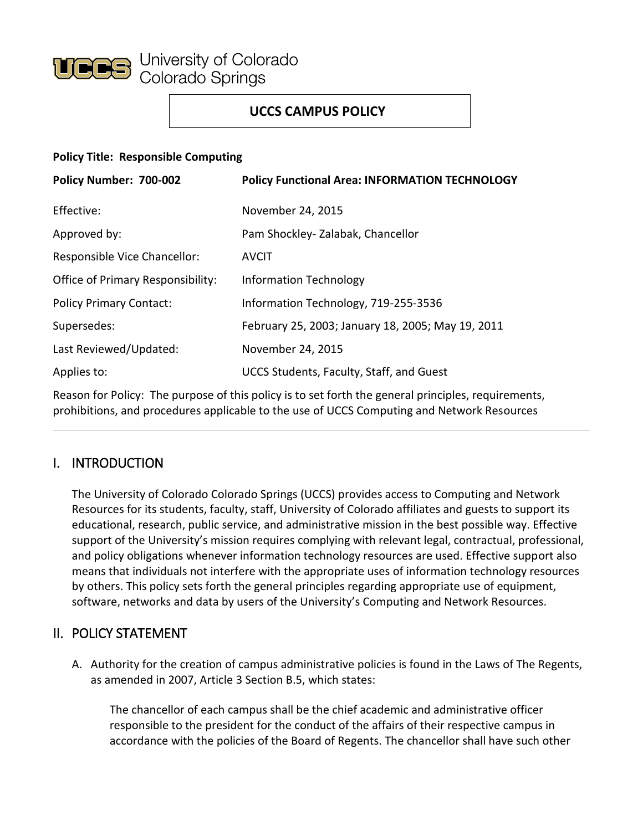

# **UCCS CAMPUS POLICY**

### **Policy Title: Responsible Computing**

| Policy Number: 700-002                   | <b>Policy Functional Area: INFORMATION TECHNOLOGY</b> |
|------------------------------------------|-------------------------------------------------------|
| Effective:                               | November 24, 2015                                     |
| Approved by:                             | Pam Shockley-Zalabak, Chancellor                      |
| Responsible Vice Chancellor:             | <b>AVCIT</b>                                          |
| <b>Office of Primary Responsibility:</b> | <b>Information Technology</b>                         |
| <b>Policy Primary Contact:</b>           | Information Technology, 719-255-3536                  |
| Supersedes:                              | February 25, 2003; January 18, 2005; May 19, 2011     |
| Last Reviewed/Updated:                   | November 24, 2015                                     |
| Applies to:                              | UCCS Students, Faculty, Staff, and Guest              |

Reason for Policy: The purpose of this policy is to set forth the general principles, requirements, prohibitions, and procedures applicable to the use of UCCS Computing and Network Resources

# I. INTRODUCTION

The University of Colorado Colorado Springs (UCCS) provides access to Computing and Network Resources for its students, faculty, staff, University of Colorado affiliates and guests to support its educational, research, public service, and administrative mission in the best possible way. Effective support of the University's mission requires complying with relevant legal, contractual, professional, and policy obligations whenever information technology resources are used. Effective support also means that individuals not interfere with the appropriate uses of information technology resources by others. This policy sets forth the general principles regarding appropriate use of equipment, software, networks and data by users of the University's Computing and Network Resources.

# II. POLICY STATEMENT

A. Authority for the creation of campus administrative policies is found in the Laws of The Regents, as amended in 2007, Article 3 Section B.5, which states:

The chancellor of each campus shall be the chief academic and administrative officer responsible to the president for the conduct of the affairs of their respective campus in accordance with the policies of the Board of Regents. The chancellor shall have such other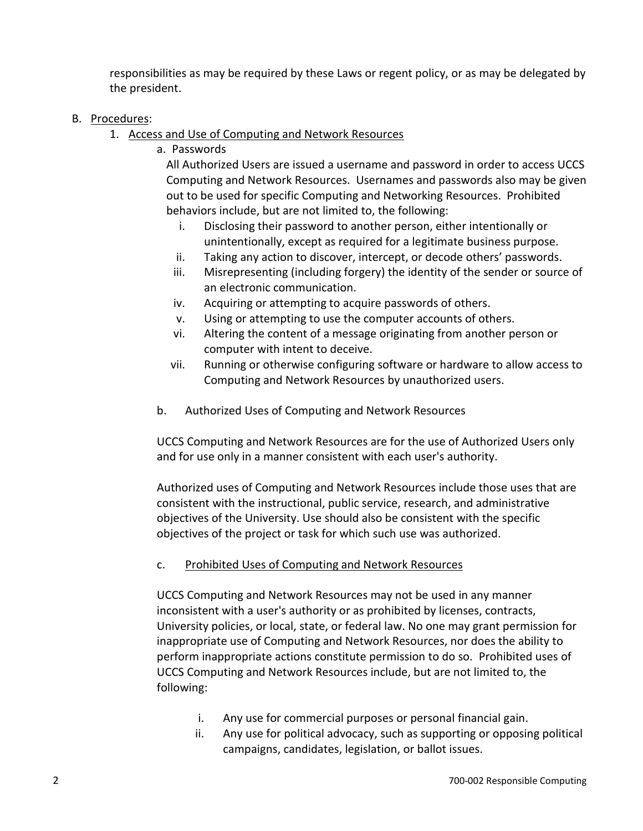responsibilities as may be required by these Laws or regent policy, or as may be delegated by the president.

#### B. Procedures:

- 1. Access and Use of Computing and Network Resources
	- a. Passwords

All Authorized Users are issued a username and password in order to access UCCS Computing and Network Resources. Usernames and passwords also may be given out to be used for specific Computing and Networking Resources. Prohibited behaviors include, but are not limited to, the following:

- i. Disclosing their password to another person, either intentionally or unintentionally, except as required for a legitimate business purpose.
- ii. Taking any action to discover, intercept, or decode others' passwords.
- iii. Misrepresenting (including forgery) the identity of the sender or source of an electronic communication.
- iv. Acquiring or attempting to acquire passwords of others.
- v. Using or attempting to use the computer accounts of others.
- vi. Altering the content of a message originating from another person or computer with intent to deceive.
- vii. Running or otherwise configuring software or hardware to allow access to Computing and Network Resources by unauthorized users.
- b. Authorized Uses of Computing and Network Resources

UCCS Computing and Network Resources are for the use of Authorized Users only and for use only in a manner consistent with each user's authority.

Authorized uses of Computing and Network Resources include those uses that are consistent with the instructional, public service, research, and administrative objectives of the University. Use should also be consistent with the specific objectives of the project or task for which such use was authorized.

#### c. Prohibited Uses of Computing and Network Resources

UCCS Computing and Network Resources may not be used in any manner inconsistent with a user's authority or as prohibited by licenses, contracts, University policies, or local, state, or federal law. No one may grant permission for inappropriate use of Computing and Network Resources, nor does the ability to perform inappropriate actions constitute permission to do so. Prohibited uses of UCCS Computing and Network Resources include, but are not limited to, the following:

- i. Any use for commercial purposes or personal financial gain.
- ii. Any use for political advocacy, such as supporting or opposing political campaigns, candidates, legislation, or ballot issues.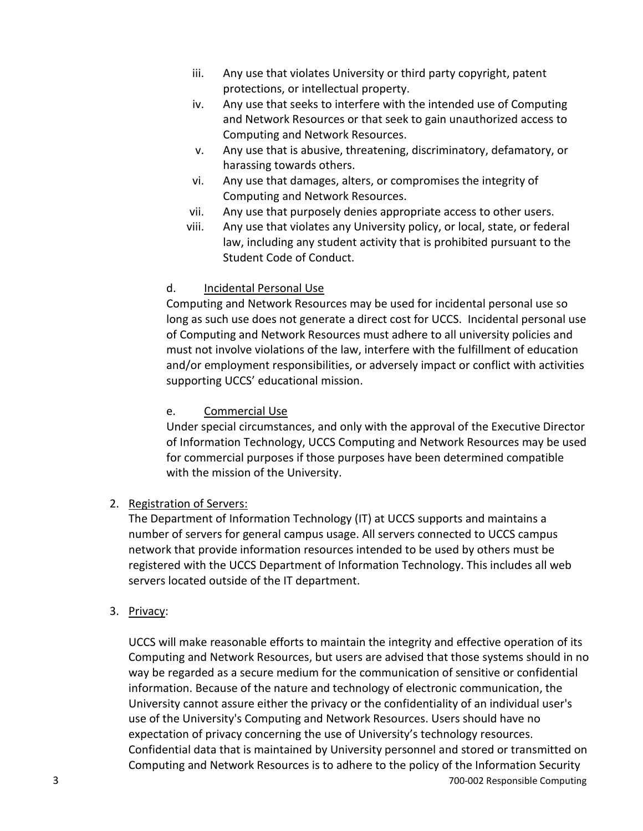- iii. Any use that violates University or third party copyright, patent protections, or intellectual property.
- iv. Any use that seeks to interfere with the intended use of Computing and Network Resources or that seek to gain unauthorized access to Computing and Network Resources.
- v. Any use that is abusive, threatening, discriminatory, defamatory, or harassing towards others.
- vi. Any use that damages, alters, or compromises the integrity of Computing and Network Resources.
- vii. Any use that purposely denies appropriate access to other users.
- viii. Any use that violates any University policy, or local, state, or federal law, including any student activity that is prohibited pursuant to the Student Code of Conduct.

## d. Incidental Personal Use

Computing and Network Resources may be used for incidental personal use so long as such use does not generate a direct cost for UCCS. Incidental personal use of Computing and Network Resources must adhere to all university policies and must not involve violations of the law, interfere with the fulfillment of education and/or employment responsibilities, or adversely impact or conflict with activities supporting UCCS' educational mission.

## e. Commercial Use

Under special circumstances, and only with the approval of the Executive Director of Information Technology, UCCS Computing and Network Resources may be used for commercial purposes if those purposes have been determined compatible with the mission of the University.

## 2. Registration of Servers:

The Department of Information Technology (IT) at UCCS supports and maintains a number of servers for general campus usage. All servers connected to UCCS campus network that provide information resources intended to be used by others must be registered with the UCCS Department of Information Technology. This includes all web servers located outside of the IT department.

## 3. Privacy:

3 700-002 Responsible Computing UCCS will make reasonable efforts to maintain the integrity and effective operation of its Computing and Network Resources, but users are advised that those systems should in no way be regarded as a secure medium for the communication of sensitive or confidential information. Because of the nature and technology of electronic communication, the University cannot assure either the privacy or the confidentiality of an individual user's use of the University's Computing and Network Resources. Users should have no expectation of privacy concerning the use of University's technology resources. Confidential data that is maintained by University personnel and stored or transmitted on Computing and Network Resources is to adhere to the policy of the Information Security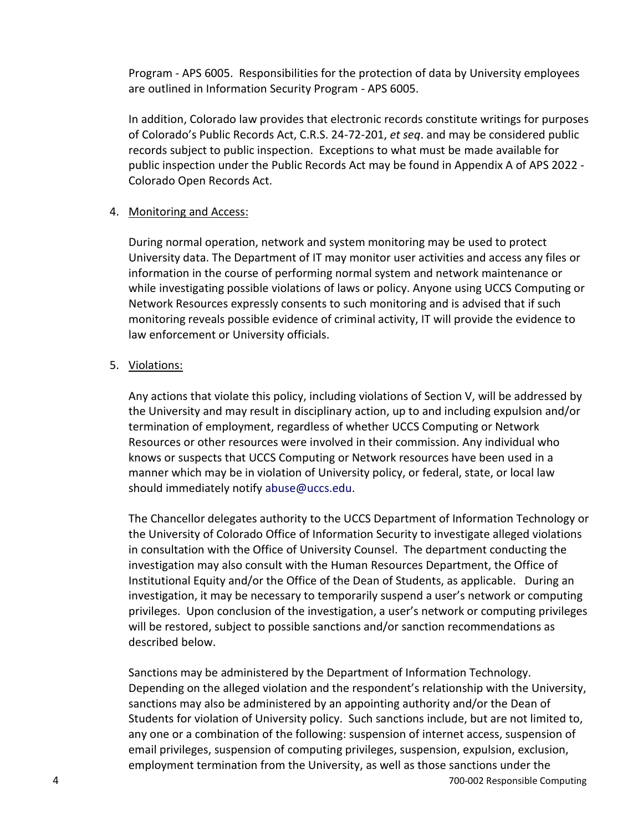Program - APS 6005. Responsibilities for the protection of data by University employees are outlined in Information Security Program - APS 6005.

In addition, Colorado law provides that electronic records constitute writings for purposes of Colorado's Public Records Act, C.R.S. 24-72-201, *et seq*. and may be considered public records subject to public inspection. Exceptions to what must be made available for public inspection under the Public Records Act may be found in Appendix A of APS 2022 - Colorado Open Records Act.

### 4. Monitoring and Access:

During normal operation, network and system monitoring may be used to protect University data. The Department of IT may monitor user activities and access any files or information in the course of performing normal system and network maintenance or while investigating possible violations of laws or policy. Anyone using UCCS Computing or Network Resources expressly consents to such monitoring and is advised that if such monitoring reveals possible evidence of criminal activity, IT will provide the evidence to law enforcement or University officials.

### 5. Violations:

Any actions that violate this policy, including violations of Section V, will be addressed by the University and may result in disciplinary action, up to and including expulsion and/or termination of employment, regardless of whether UCCS Computing or Network Resources or other resources were involved in their commission. Any individual who knows or suspects that UCCS Computing or Network resources have been used in a manner which may be in violation of University policy, or federal, state, or local law should immediately notify [abuse@uccs.edu.](file://///excelsior/ue$/eboling2/VCAF%20Erin/abuse@uccs.edu)

The Chancellor delegates authority to the UCCS Department of Information Technology or the University of Colorado Office of Information Security to investigate alleged violations in consultation with the Office of University Counsel. The department conducting the investigation may also consult with the Human Resources Department, the Office of Institutional Equity and/or the Office of the Dean of Students, as applicable. During an investigation, it may be necessary to temporarily suspend a user's network or computing privileges. Upon conclusion of the investigation, a user's network or computing privileges will be restored, subject to possible sanctions and/or sanction recommendations as described below.

Sanctions may be administered by the Department of Information Technology. Depending on the alleged violation and the respondent's relationship with the University, sanctions may also be administered by an appointing authority and/or the Dean of Students for violation of University policy. Such sanctions include, but are not limited to, any one or a combination of the following: suspension of internet access, suspension of email privileges, suspension of computing privileges, suspension, expulsion, exclusion, employment termination from the University, as well as those sanctions under the